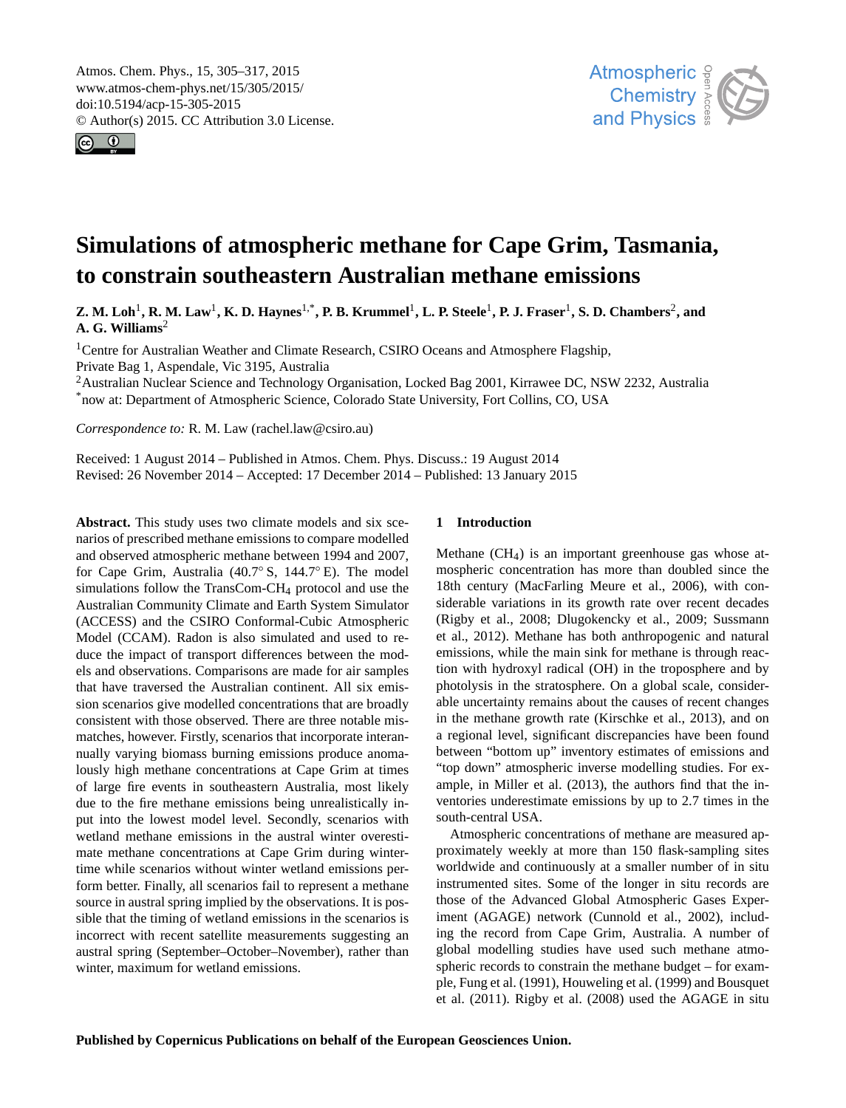<span id="page-0-1"></span>Atmos. Chem. Phys., 15, 305–317, 2015 www.atmos-chem-phys.net/15/305/2015/ doi:10.5194/acp-15-305-2015 © Author(s) 2015. CC Attribution 3.0 License.





# **Simulations of atmospheric methane for Cape Grim, Tasmania, to constrain southeastern Australian methane emissions**

 $\bf{Z.~M.~Loh}^1$  $\bf{Z.~M.~Loh}^1$ **, R. M. Law<sup>1</sup>, K. D. Haynes<sup>[1,\\*](#page-0-0)</sup>, P. B. Krummel<sup>1</sup>, L. P. Steele<sup>1</sup>, P. J. Fraser<sup>1</sup>, S. D. Chambers<sup>[2](#page-0-0)</sup>, and A. G. Williams**[2](#page-0-0)

<sup>1</sup>Centre for Australian Weather and Climate Research, CSIRO Oceans and Atmosphere Flagship, Private Bag 1, Aspendale, Vic 3195, Australia

<sup>2</sup>Australian Nuclear Science and Technology Organisation, Locked Bag 2001, Kirrawee DC, NSW 2232, Australia \*now at: Department of Atmospheric Science, Colorado State University, Fort Collins, CO, USA

*Correspondence to:* R. M. Law (rachel.law@csiro.au)

Received: 1 August 2014 – Published in Atmos. Chem. Phys. Discuss.: 19 August 2014 Revised: 26 November 2014 – Accepted: 17 December 2014 – Published: 13 January 2015

<span id="page-0-0"></span>**Abstract.** This study uses two climate models and six scenarios of prescribed methane emissions to compare modelled and observed atmospheric methane between 1994 and 2007, for Cape Grim, Australia (40.7◦ S, 144.7◦ E). The model simulations follow the TransCom-CH<sup>4</sup> protocol and use the Australian Community Climate and Earth System Simulator (ACCESS) and the CSIRO Conformal-Cubic Atmospheric Model (CCAM). Radon is also simulated and used to reduce the impact of transport differences between the models and observations. Comparisons are made for air samples that have traversed the Australian continent. All six emission scenarios give modelled concentrations that are broadly consistent with those observed. There are three notable mismatches, however. Firstly, scenarios that incorporate interannually varying biomass burning emissions produce anomalously high methane concentrations at Cape Grim at times of large fire events in southeastern Australia, most likely due to the fire methane emissions being unrealistically input into the lowest model level. Secondly, scenarios with wetland methane emissions in the austral winter overestimate methane concentrations at Cape Grim during wintertime while scenarios without winter wetland emissions perform better. Finally, all scenarios fail to represent a methane source in austral spring implied by the observations. It is possible that the timing of wetland emissions in the scenarios is incorrect with recent satellite measurements suggesting an austral spring (September–October–November), rather than winter, maximum for wetland emissions.

# **1 Introduction**

Methane  $(CH<sub>4</sub>)$  is an important greenhouse gas whose atmospheric concentration has more than doubled since the 18th century [\(MacFarling Meure et al.,](#page-11-0) [2006\)](#page-11-0), with considerable variations in its growth rate over recent decades [\(Rigby et al.,](#page-11-1) [2008;](#page-11-1) [Dlugokencky et al.,](#page-10-0) [2009;](#page-10-0) [Sussmann](#page-11-2) [et al.,](#page-11-2) [2012\)](#page-11-2). Methane has both anthropogenic and natural emissions, while the main sink for methane is through reaction with hydroxyl radical (OH) in the troposphere and by photolysis in the stratosphere. On a global scale, considerable uncertainty remains about the causes of recent changes in the methane growth rate [\(Kirschke et al.,](#page-11-3) [2013\)](#page-11-3), and on a regional level, significant discrepancies have been found between "bottom up" inventory estimates of emissions and "top down" atmospheric inverse modelling studies. For example, in [Miller et al.](#page-11-4) [\(2013\)](#page-11-4), the authors find that the inventories underestimate emissions by up to 2.7 times in the south-central USA.

Atmospheric concentrations of methane are measured approximately weekly at more than 150 flask-sampling sites worldwide and continuously at a smaller number of in situ instrumented sites. Some of the longer in situ records are those of the Advanced Global Atmospheric Gases Experiment (AGAGE) network [\(Cunnold et al.,](#page-10-1) [2002\)](#page-10-1), including the record from Cape Grim, Australia. A number of global modelling studies have used such methane atmospheric records to constrain the methane budget – for example, [Fung et al.](#page-10-2) [\(1991\)](#page-10-2), [Houweling et al.](#page-10-3) [\(1999\)](#page-10-3) and [Bousquet](#page-10-4) [et al.](#page-10-4) [\(2011\)](#page-10-4). [Rigby et al.](#page-11-1) [\(2008\)](#page-11-1) used the AGAGE in situ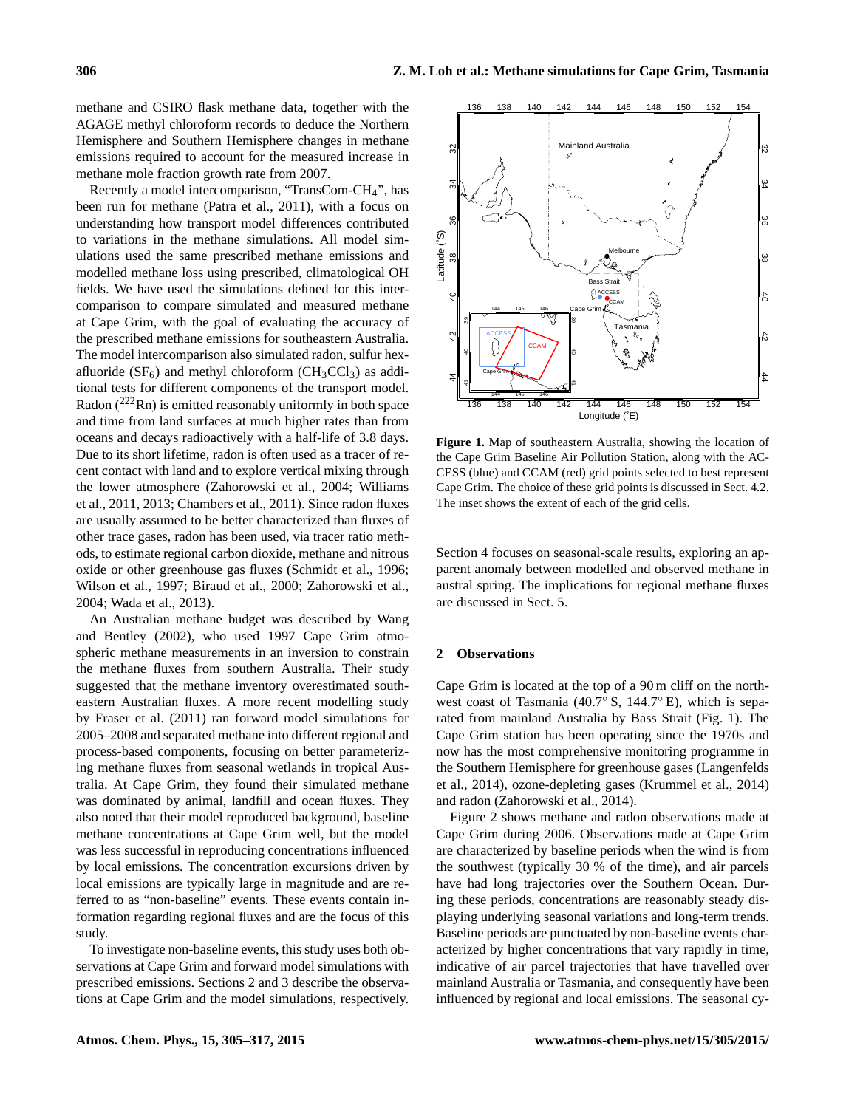methane and CSIRO flask methane data, together with the AGAGE methyl chloroform records to deduce the Northern Hemisphere and Southern Hemisphere changes in methane emissions required to account for the measured increase in methane mole fraction growth rate from 2007.

Recently a model intercomparison, "TransCom-CH4", has been run for methane [\(Patra et al.,](#page-11-5) [2011\)](#page-11-5), with a focus on understanding how transport model differences contributed to variations in the methane simulations. All model simulations used the same prescribed methane emissions and modelled methane loss using prescribed, climatological OH fields. We have used the simulations defined for this intercomparison to compare simulated and measured methane at Cape Grim, with the goal of evaluating the accuracy of the prescribed methane emissions for southeastern Australia. The model intercomparison also simulated radon, sulfur hexafluoride ( $SF_6$ ) and methyl chloroform ( $CH_3CCl_3$ ) as additional tests for different components of the transport model. Radon  $(^{222}$ Rn) is emitted reasonably uniformly in both space and time from land surfaces at much higher rates than from oceans and decays radioactively with a half-life of 3.8 days. Due to its short lifetime, radon is often used as a tracer of recent contact with land and to explore vertical mixing through the lower atmosphere [\(Zahorowski et al.,](#page-12-0) [2004;](#page-12-0) [Williams](#page-12-1) [et al.,](#page-12-1) [2011,](#page-12-1) [2013;](#page-12-2) [Chambers et al.,](#page-10-5) [2011\)](#page-10-5). Since radon fluxes are usually assumed to be better characterized than fluxes of other trace gases, radon has been used, via tracer ratio methods, to estimate regional carbon dioxide, methane and nitrous oxide or other greenhouse gas fluxes [\(Schmidt et al.,](#page-11-6) [1996;](#page-11-6) [Wilson et al.,](#page-12-3) [1997;](#page-12-3) [Biraud et al.,](#page-10-6) [2000;](#page-10-6) [Zahorowski et al.,](#page-12-0) [2004;](#page-12-0) [Wada et al.,](#page-12-4) [2013\)](#page-12-4).

An Australian methane budget was described by [Wang](#page-12-5) [and Bentley](#page-12-5) [\(2002\)](#page-12-5), who used 1997 Cape Grim atmospheric methane measurements in an inversion to constrain the methane fluxes from southern Australia. Their study suggested that the methane inventory overestimated southeastern Australian fluxes. A more recent modelling study by [Fraser et al.](#page-10-7) [\(2011\)](#page-10-7) ran forward model simulations for 2005–2008 and separated methane into different regional and process-based components, focusing on better parameterizing methane fluxes from seasonal wetlands in tropical Australia. At Cape Grim, they found their simulated methane was dominated by animal, landfill and ocean fluxes. They also noted that their model reproduced background, baseline methane concentrations at Cape Grim well, but the model was less successful in reproducing concentrations influenced by local emissions. The concentration excursions driven by local emissions are typically large in magnitude and are referred to as "non-baseline" events. These events contain information regarding regional fluxes and are the focus of this study.

To investigate non-baseline events, this study uses both observations at Cape Grim and forward model simulations with prescribed emissions. Sections [2](#page-1-0) and [3](#page-3-0) describe the observations at Cape Grim and the model simulations, respectively.

<span id="page-1-1"></span>

**Figure 1.** Map of southeastern Australia, showing the location of the Cape Grim Baseline Air Pollution Station, along with the AC-CESS (blue) and CCAM (red) grid points selected to best represent Cape Grim. The choice of these grid points is discussed in Sect. [4.2.](#page-6-0) The inset shows the extent of each of the grid cells.

Section [4](#page-5-0) focuses on seasonal-scale results, exploring an apparent anomaly between modelled and observed methane in austral spring. The implications for regional methane fluxes are discussed in Sect. [5.](#page-8-0)

## <span id="page-1-0"></span>**2 Observations**

Cape Grim is located at the top of a 90 m cliff on the northwest coast of Tasmania (40.7◦ S, 144.7◦ E), which is separated from mainland Australia by Bass Strait (Fig. [1\)](#page-1-1). The Cape Grim station has been operating since the 1970s and now has the most comprehensive monitoring programme in the Southern Hemisphere for greenhouse gases [\(Langenfelds](#page-11-7) [et al.,](#page-11-7) [2014\)](#page-11-7), ozone-depleting gases [\(Krummel et al.,](#page-11-8) [2014\)](#page-11-8) and radon [\(Zahorowski et al.,](#page-12-6) [2014\)](#page-12-6).

Figure [2](#page-2-0) shows methane and radon observations made at Cape Grim during 2006. Observations made at Cape Grim are characterized by baseline periods when the wind is from the southwest (typically 30 % of the time), and air parcels have had long trajectories over the Southern Ocean. During these periods, concentrations are reasonably steady displaying underlying seasonal variations and long-term trends. Baseline periods are punctuated by non-baseline events characterized by higher concentrations that vary rapidly in time, indicative of air parcel trajectories that have travelled over mainland Australia or Tasmania, and consequently have been influenced by regional and local emissions. The seasonal cy-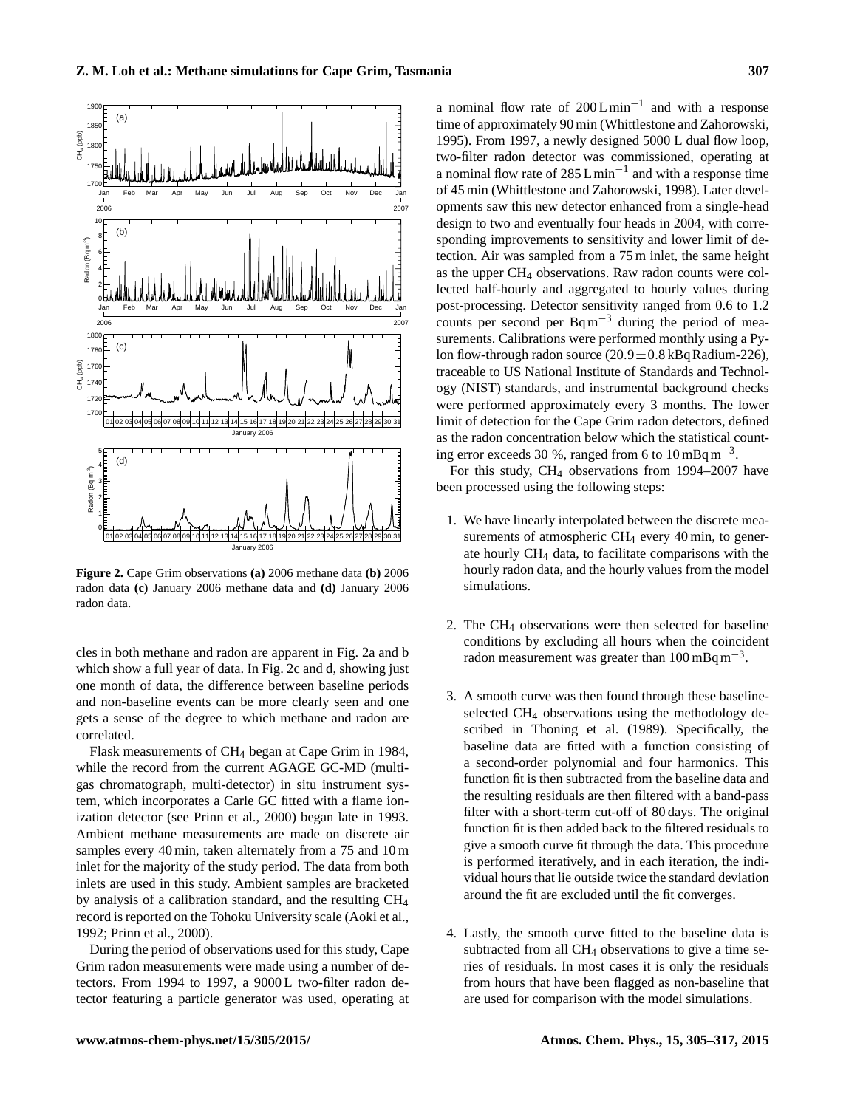<span id="page-2-0"></span>

**Figure 2.** Cape Grim observations **(a)** 2006 methane data **(b)** 2006 radon data **(c)** January 2006 methane data and **(d)** January 2006 radon data.

cles in both methane and radon are apparent in Fig. [2a](#page-2-0) and b which show a full year of data. In Fig. [2c](#page-2-0) and d, showing just one month of data, the difference between baseline periods and non-baseline events can be more clearly seen and one gets a sense of the degree to which methane and radon are correlated.

Flask measurements of CH<sup>4</sup> began at Cape Grim in 1984, while the record from the current AGAGE GC-MD (multigas chromatograph, multi-detector) in situ instrument system, which incorporates a Carle GC fitted with a flame ionization detector (see [Prinn et al.,](#page-11-9) [2000\)](#page-11-9) began late in 1993. Ambient methane measurements are made on discrete air samples every 40 min, taken alternately from a 75 and 10 m inlet for the majority of the study period. The data from both inlets are used in this study. Ambient samples are bracketed by analysis of a calibration standard, and the resulting CH<sup>4</sup> record is reported on the Tohoku University scale [\(Aoki et al.,](#page-10-8) [1992;](#page-10-8) [Prinn et al.,](#page-11-9) [2000\)](#page-11-9).

During the period of observations used for this study, Cape Grim radon measurements were made using a number of detectors. From 1994 to 1997, a 9000 L two-filter radon detector featuring a particle generator was used, operating at

a nominal flow rate of  $200 L min^{-1}$  and with a response time of approximately 90 min [\(Whittlestone and Zahorowski,](#page-12-7) [1995\)](#page-12-7). From 1997, a newly designed 5000 L dual flow loop, two-filter radon detector was commissioned, operating at a nominal flow rate of  $285 L min^{-1}$  and with a response time of 45 min [\(Whittlestone and Zahorowski,](#page-12-8) [1998\)](#page-12-8). Later developments saw this new detector enhanced from a single-head design to two and eventually four heads in 2004, with corresponding improvements to sensitivity and lower limit of detection. Air was sampled from a 75 m inlet, the same height as the upper CH<sup>4</sup> observations. Raw radon counts were collected half-hourly and aggregated to hourly values during post-processing. Detector sensitivity ranged from 0.6 to 1.2 counts per second per  $Bq m^{-3}$  during the period of measurements. Calibrations were performed monthly using a Pylon flow-through radon source  $(20.9 \pm 0.8 \text{ kBq} \text{ R}$ adium-226), traceable to US National Institute of Standards and Technology (NIST) standards, and instrumental background checks were performed approximately every 3 months. The lower limit of detection for the Cape Grim radon detectors, defined as the radon concentration below which the statistical counting error exceeds 30 %, ranged from 6 to  $10 \text{ mBq m}^{-3}$ .

For this study, CH<sup>4</sup> observations from 1994–2007 have been processed using the following steps:

- 1. We have linearly interpolated between the discrete measurements of atmospheric  $CH_4$  every 40 min, to generate hourly CH<sup>4</sup> data, to facilitate comparisons with the hourly radon data, and the hourly values from the model simulations.
- 2. The  $CH_4$  observations were then selected for baseline conditions by excluding all hours when the coincident radon measurement was greater than 100 mBq m−<sup>3</sup> .
- 3. A smooth curve was then found through these baselineselected CH<sub>4</sub> observations using the methodology described in [Thoning et al.](#page-11-10) [\(1989\)](#page-11-10). Specifically, the baseline data are fitted with a function consisting of a second-order polynomial and four harmonics. This function fit is then subtracted from the baseline data and the resulting residuals are then filtered with a band-pass filter with a short-term cut-off of 80 days. The original function fit is then added back to the filtered residuals to give a smooth curve fit through the data. This procedure is performed iteratively, and in each iteration, the individual hours that lie outside twice the standard deviation around the fit are excluded until the fit converges.
- 4. Lastly, the smooth curve fitted to the baseline data is subtracted from all  $CH_4$  observations to give a time series of residuals. In most cases it is only the residuals from hours that have been flagged as non-baseline that are used for comparison with the model simulations.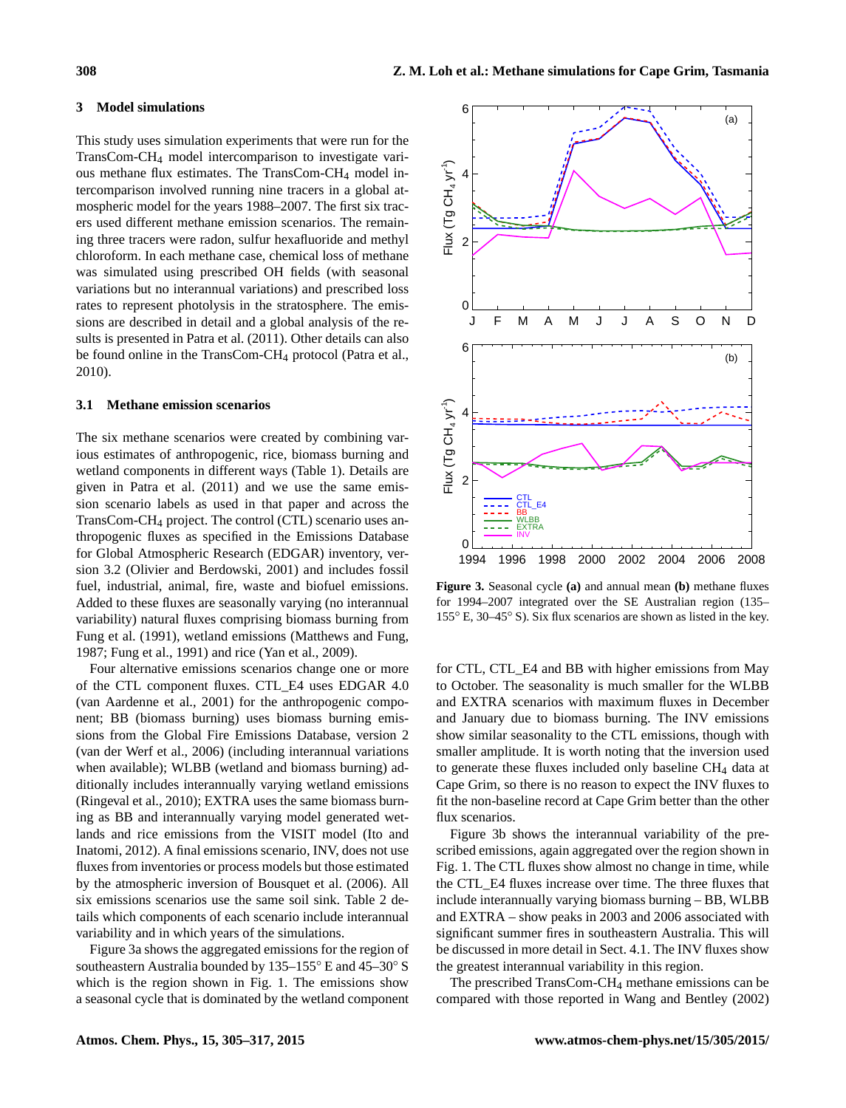## <span id="page-3-0"></span>**3 Model simulations**

This study uses simulation experiments that were run for the TransCom-CH<sup>4</sup> model intercomparison to investigate various methane flux estimates. The TransCom-CH<sup>4</sup> model intercomparison involved running nine tracers in a global atmospheric model for the years 1988–2007. The first six tracers used different methane emission scenarios. The remaining three tracers were radon, sulfur hexafluoride and methyl chloroform. In each methane case, chemical loss of methane was simulated using prescribed OH fields (with seasonal variations but no interannual variations) and prescribed loss rates to represent photolysis in the stratosphere. The emissions are described in detail and a global analysis of the results is presented in [Patra et al.](#page-11-5) [\(2011\)](#page-11-5). Other details can also be found online in the TransCom-CH<sub>4</sub> protocol [\(Patra et al.,](#page-11-11) [2010\)](#page-11-11).

#### <span id="page-3-2"></span>**3.1 Methane emission scenarios**

The six methane scenarios were created by combining various estimates of anthropogenic, rice, biomass burning and wetland components in different ways (Table [1\)](#page-4-0). Details are given in [Patra et al.](#page-11-5) [\(2011\)](#page-11-5) and we use the same emission scenario labels as used in that paper and across the TransCom-CH<sup>4</sup> project. The control (CTL) scenario uses anthropogenic fluxes as specified in the Emissions Database for Global Atmospheric Research (EDGAR) inventory, version 3.2 [\(Olivier and Berdowski,](#page-11-12) [2001\)](#page-11-12) and includes fossil fuel, industrial, animal, fire, waste and biofuel emissions. Added to these fluxes are seasonally varying (no interannual variability) natural fluxes comprising biomass burning from [Fung et al.](#page-10-2) [\(1991\)](#page-10-2), wetland emissions [\(Matthews and Fung,](#page-11-13) [1987;](#page-11-13) [Fung et al.,](#page-10-2) [1991\)](#page-10-2) and rice [\(Yan et al.,](#page-12-9) [2009\)](#page-12-9).

Four alternative emissions scenarios change one or more of the CTL component fluxes. CTL\_E4 uses EDGAR 4.0 [\(van Aardenne et al.,](#page-12-10) [2001\)](#page-12-10) for the anthropogenic component; BB (biomass burning) uses biomass burning emissions from the Global Fire Emissions Database, version 2 [\(van der Werf et al.,](#page-12-11) [2006\)](#page-12-11) (including interannual variations when available); WLBB (wetland and biomass burning) additionally includes interannually varying wetland emissions [\(Ringeval et al.,](#page-11-14) [2010\)](#page-11-14); EXTRA uses the same biomass burning as BB and interannually varying model generated wetlands and rice emissions from the VISIT model [\(Ito and](#page-10-9) [Inatomi,](#page-10-9) [2012\)](#page-10-9). A final emissions scenario, INV, does not use fluxes from inventories or process models but those estimated by the atmospheric inversion of [Bousquet et al.](#page-10-10) [\(2006\)](#page-10-10). All six emissions scenarios use the same soil sink. Table [2](#page-4-1) details which components of each scenario include interannual variability and in which years of the simulations.

Figure [3a](#page-3-1) shows the aggregated emissions for the region of southeastern Australia bounded by 135–155◦ E and 45–30◦ S which is the region shown in Fig. [1.](#page-1-1) The emissions show a seasonal cycle that is dominated by the wetland component

<span id="page-3-1"></span>

**Figure 3.** Seasonal cycle **(a)** and annual mean **(b)** methane fluxes for 1994–2007 integrated over the SE Australian region (135– 155◦ E, 30–45◦ S). Six flux scenarios are shown as listed in the key.

for CTL, CTL E4 and BB with higher emissions from May to October. The seasonality is much smaller for the WLBB and EXTRA scenarios with maximum fluxes in December and January due to biomass burning. The INV emissions show similar seasonality to the CTL emissions, though with smaller amplitude. It is worth noting that the inversion used to generate these fluxes included only baseline CH<sub>4</sub> data at Cape Grim, so there is no reason to expect the INV fluxes to fit the non-baseline record at Cape Grim better than the other flux scenarios.

Figure [3b](#page-3-1) shows the interannual variability of the prescribed emissions, again aggregated over the region shown in Fig. [1.](#page-1-1) The CTL fluxes show almost no change in time, while the CTL\_E4 fluxes increase over time. The three fluxes that include interannually varying biomass burning – BB, WLBB and EXTRA – show peaks in 2003 and 2006 associated with significant summer fires in southeastern Australia. This will be discussed in more detail in Sect. [4.1.](#page-6-1) The INV fluxes show the greatest interannual variability in this region.

The prescribed TransCom-CH<sup>4</sup> methane emissions can be compared with those reported in [Wang and Bentley](#page-12-5) [\(2002\)](#page-12-5)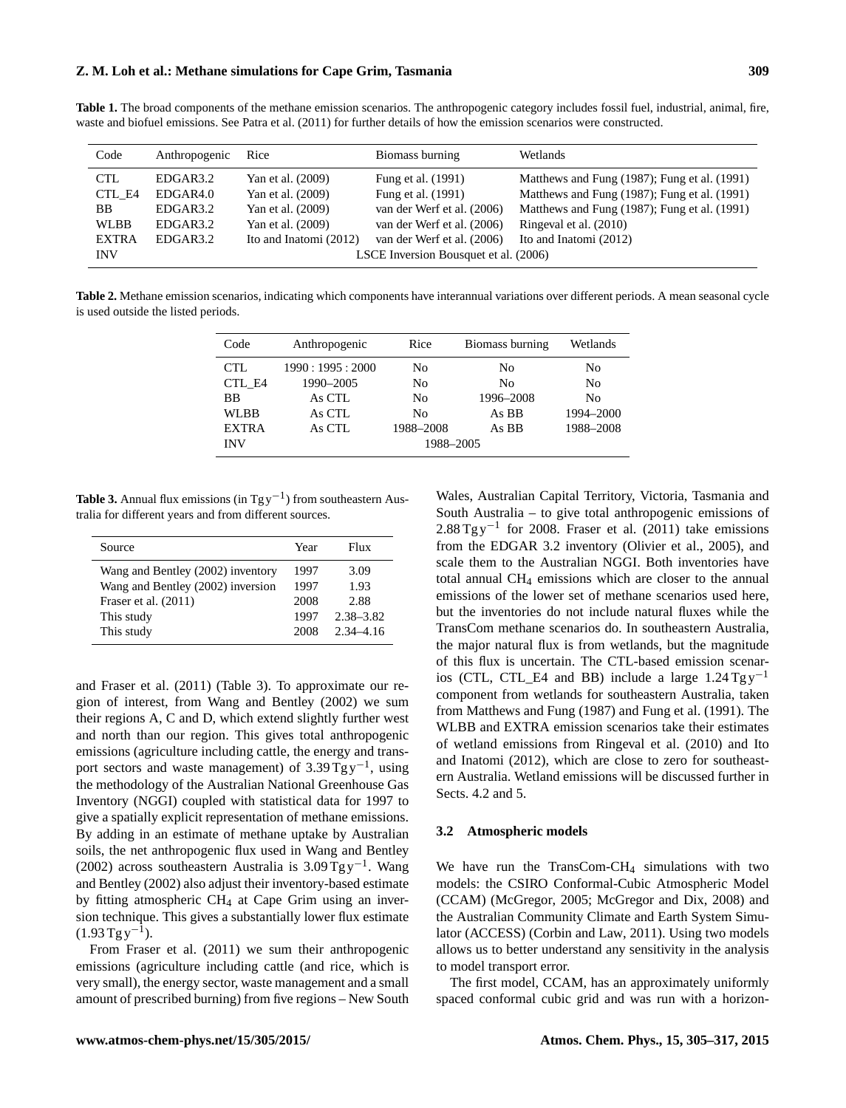## **Z. M. Loh et al.: Methane simulations for Cape Grim, Tasmania 309**

<span id="page-4-0"></span>**Table 1.** The broad components of the methane emission scenarios. The anthropogenic category includes fossil fuel, industrial, animal, fire, waste and biofuel emissions. See [Patra et al.](#page-11-5) [\(2011\)](#page-11-5) for further details of how the emission scenarios were constructed.

| Code         | Anthropogenic                         | Rice                   | Biomass burning            | Wetlands                                     |  |
|--------------|---------------------------------------|------------------------|----------------------------|----------------------------------------------|--|
| <b>CTL</b>   | EDGAR3.2                              | Yan et al. (2009)      | Fung et al. (1991)         | Matthews and Fung (1987); Fung et al. (1991) |  |
| CTL E4       | EDGAR4.0                              | Yan et al. (2009)      | Fung et al. (1991)         | Matthews and Fung (1987); Fung et al. (1991) |  |
| BB.          | EDGAR3.2                              | Yan et al. (2009)      | van der Werf et al. (2006) | Matthews and Fung (1987); Fung et al. (1991) |  |
| <b>WLBB</b>  | EDGAR3.2                              | Yan et al. (2009)      | van der Werf et al. (2006) | Ringeval et al. (2010)                       |  |
| <b>EXTRA</b> | EDGAR3.2                              | Ito and Inatomi (2012) | van der Werf et al. (2006) | Ito and Inatomi (2012)                       |  |
| <b>INV</b>   | LSCE Inversion Bousquet et al. (2006) |                        |                            |                                              |  |

<span id="page-4-1"></span>**Table 2.** Methane emission scenarios, indicating which components have interannual variations over different periods. A mean seasonal cycle is used outside the listed periods.

| Code         | Anthropogenic  | Rice           | Biomass burning | Wetlands       |  |
|--------------|----------------|----------------|-----------------|----------------|--|
| CTL          | 1990:1995:2000 | N <sub>0</sub> | No              | No             |  |
| CTL E4       | 1990-2005      | N <sub>0</sub> | N <sub>0</sub>  | N <sub>0</sub> |  |
| <b>BB</b>    | As CTL         | N <sub>0</sub> | 1996-2008       | N <sub>0</sub> |  |
| <b>WLBB</b>  | As CTL         | N <sub>0</sub> | As BB           | 1994-2000      |  |
| <b>EXTRA</b> | As CTL         | 1988-2008      | As BB           | 1988-2008      |  |
| <b>INV</b>   | 1988-2005      |                |                 |                |  |

<span id="page-4-2"></span>Table 3. Annual flux emissions (in Tg y<sup>-1</sup>) from southeastern Australia for different years and from different sources.

| Source                            | Year | Flux          |
|-----------------------------------|------|---------------|
| Wang and Bentley (2002) inventory | 1997 | 3.09          |
| Wang and Bentley (2002) inversion | 1997 | 1.93          |
| Fraser et al. (2011)              | 2008 | 2.88          |
| This study                        | 1997 | $2.38 - 3.82$ |
| This study                        | 2008 | $2,34-4,16$   |

and [Fraser et al.](#page-10-7) [\(2011\)](#page-10-7) (Table [3\)](#page-4-2). To approximate our region of interest, from [Wang and Bentley](#page-12-5) [\(2002\)](#page-12-5) we sum their regions A, C and D, which extend slightly further west and north than our region. This gives total anthropogenic emissions (agriculture including cattle, the energy and transport sectors and waste management) of  $3.39 \text{ Tg y}^{-1}$ , using the methodology of the Australian National Greenhouse Gas Inventory (NGGI) coupled with statistical data for 1997 to give a spatially explicit representation of methane emissions. By adding in an estimate of methane uptake by Australian soils, the net anthropogenic flux used in [Wang and Bentley](#page-12-5) [\(2002\)](#page-12-5) across southeastern Australia is 3.09 Tg y−<sup>1</sup> . [Wang](#page-12-5) [and Bentley](#page-12-5) [\(2002\)](#page-12-5) also adjust their inventory-based estimate by fitting atmospheric CH<sup>4</sup> at Cape Grim using an inversion technique. This gives a substantially lower flux estimate  $(1.93 \,\mathrm{Tyy}^{-1}).$ 

From [Fraser et al.](#page-10-7) [\(2011\)](#page-10-7) we sum their anthropogenic emissions (agriculture including cattle (and rice, which is very small), the energy sector, waste management and a small amount of prescribed burning) from five regions – New South

Wales, Australian Capital Territory, Victoria, Tasmania and South Australia – to give total anthropogenic emissions of 2.88 Tg y<sup>-1</sup> for 2008. [Fraser et al.](#page-10-7) [\(2011\)](#page-10-7) take emissions from the EDGAR 3.2 inventory [\(Olivier et al.,](#page-11-15) [2005\)](#page-11-15), and scale them to the Australian NGGI. Both inventories have total annual CH<sup>4</sup> emissions which are closer to the annual emissions of the lower set of methane scenarios used here, but the inventories do not include natural fluxes while the TransCom methane scenarios do. In southeastern Australia, the major natural flux is from wetlands, but the magnitude of this flux is uncertain. The CTL-based emission scenarios (CTL, CTL\_E4 and BB) include a large  $1.24$  Tg y<sup>-1</sup> component from wetlands for southeastern Australia, taken from [Matthews and Fung](#page-11-13) [\(1987\)](#page-11-13) and [Fung et al.](#page-10-2) [\(1991\)](#page-10-2). The WLBB and EXTRA emission scenarios take their estimates of wetland emissions from [Ringeval et al.](#page-11-14) [\(2010\)](#page-11-14) and [Ito](#page-10-9) [and Inatomi](#page-10-9) [\(2012\)](#page-10-9), which are close to zero for southeastern Australia. Wetland emissions will be discussed further in Sects. [4.2](#page-6-0) and [5.](#page-8-0)

#### <span id="page-4-3"></span>**3.2 Atmospheric models**

We have run the TransCom-CH<sub>4</sub> simulations with two models: the CSIRO Conformal-Cubic Atmospheric Model (CCAM) [\(McGregor,](#page-11-16) [2005;](#page-11-16) [McGregor and Dix,](#page-11-17) [2008\)](#page-11-17) and the Australian Community Climate and Earth System Simulator (ACCESS) [\(Corbin and Law,](#page-10-11) [2011\)](#page-10-11). Using two models allows us to better understand any sensitivity in the analysis to model transport error.

The first model, CCAM, has an approximately uniformly spaced conformal cubic grid and was run with a horizon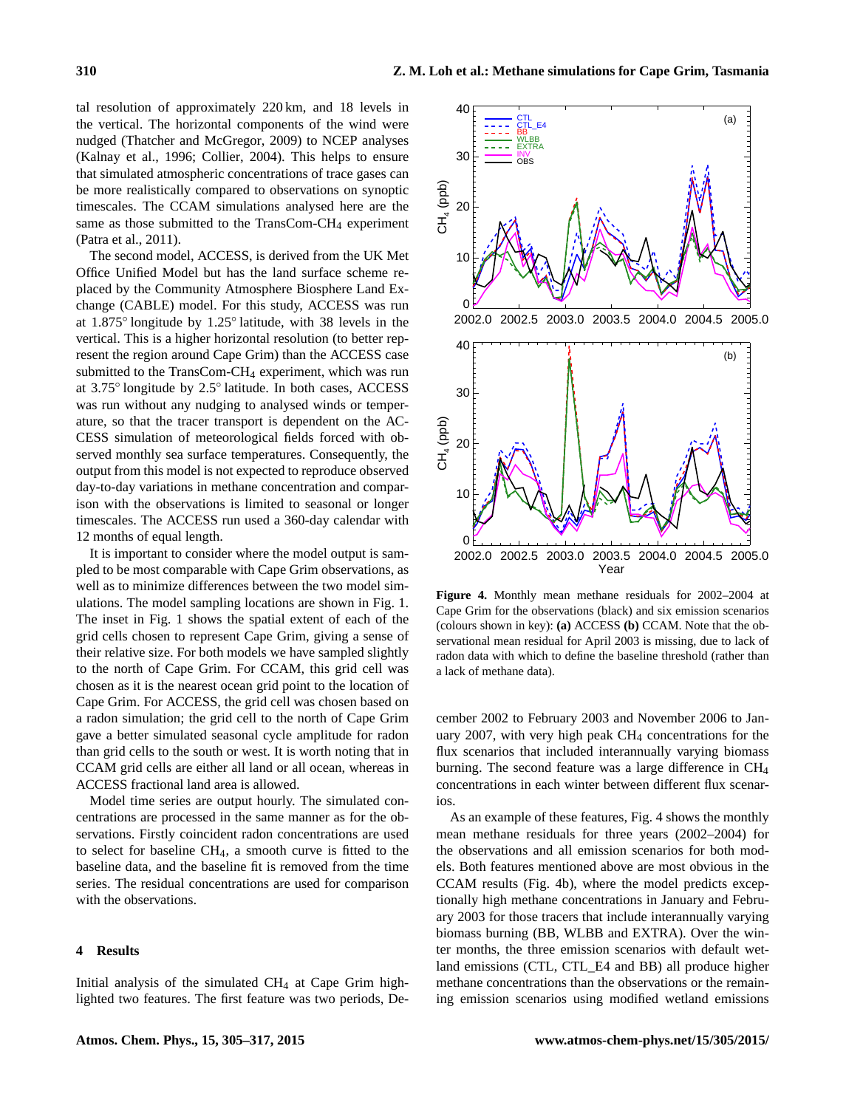tal resolution of approximately 220 km, and 18 levels in the vertical. The horizontal components of the wind were nudged [\(Thatcher and McGregor,](#page-11-18) [2009\)](#page-11-18) to NCEP analyses [\(Kalnay et al.,](#page-11-19) [1996;](#page-11-19) [Collier,](#page-10-12) [2004\)](#page-10-12). This helps to ensure that simulated atmospheric concentrations of trace gases can be more realistically compared to observations on synoptic timescales. The CCAM simulations analysed here are the same as those submitted to the TransCom-CH<sub>4</sub> experiment [\(Patra et al.,](#page-11-5) [2011\)](#page-11-5).

The second model, ACCESS, is derived from the UK Met Office Unified Model but has the land surface scheme replaced by the Community Atmosphere Biosphere Land Exchange (CABLE) model. For this study, ACCESS was run at 1.875◦ longitude by 1.25◦ latitude, with 38 levels in the vertical. This is a higher horizontal resolution (to better represent the region around Cape Grim) than the ACCESS case submitted to the TransCom-CH<sup>4</sup> experiment, which was run at 3.75◦ longitude by 2.5◦ latitude. In both cases, ACCESS was run without any nudging to analysed winds or temperature, so that the tracer transport is dependent on the AC-CESS simulation of meteorological fields forced with observed monthly sea surface temperatures. Consequently, the output from this model is not expected to reproduce observed day-to-day variations in methane concentration and comparison with the observations is limited to seasonal or longer timescales. The ACCESS run used a 360-day calendar with 12 months of equal length.

It is important to consider where the model output is sampled to be most comparable with Cape Grim observations, as well as to minimize differences between the two model simulations. The model sampling locations are shown in Fig. [1.](#page-1-1) The inset in Fig. [1](#page-1-1) shows the spatial extent of each of the grid cells chosen to represent Cape Grim, giving a sense of their relative size. For both models we have sampled slightly to the north of Cape Grim. For CCAM, this grid cell was chosen as it is the nearest ocean grid point to the location of Cape Grim. For ACCESS, the grid cell was chosen based on a radon simulation; the grid cell to the north of Cape Grim gave a better simulated seasonal cycle amplitude for radon than grid cells to the south or west. It is worth noting that in CCAM grid cells are either all land or all ocean, whereas in ACCESS fractional land area is allowed.

Model time series are output hourly. The simulated concentrations are processed in the same manner as for the observations. Firstly coincident radon concentrations are used to select for baseline CH4, a smooth curve is fitted to the baseline data, and the baseline fit is removed from the time series. The residual concentrations are used for comparison with the observations.

#### <span id="page-5-0"></span>**4 Results**

Initial analysis of the simulated CH<sup>4</sup> at Cape Grim highlighted two features. The first feature was two periods, De-

<span id="page-5-1"></span>

**Figure 4.** Monthly mean methane residuals for 2002–2004 at Cape Grim for the observations (black) and six emission scenarios (colours shown in key): **(a)** ACCESS **(b)** CCAM. Note that the observational mean residual for April 2003 is missing, due to lack of radon data with which to define the baseline threshold (rather than a lack of methane data).

cember 2002 to February 2003 and November 2006 to January 2007, with very high peak  $CH<sub>4</sub>$  concentrations for the flux scenarios that included interannually varying biomass burning. The second feature was a large difference in CH<sup>4</sup> concentrations in each winter between different flux scenarios.

As an example of these features, Fig. [4](#page-5-1) shows the monthly mean methane residuals for three years (2002–2004) for the observations and all emission scenarios for both models. Both features mentioned above are most obvious in the CCAM results (Fig. [4b](#page-5-1)), where the model predicts exceptionally high methane concentrations in January and February 2003 for those tracers that include interannually varying biomass burning (BB, WLBB and EXTRA). Over the winter months, the three emission scenarios with default wetland emissions (CTL, CTL\_E4 and BB) all produce higher methane concentrations than the observations or the remaining emission scenarios using modified wetland emissions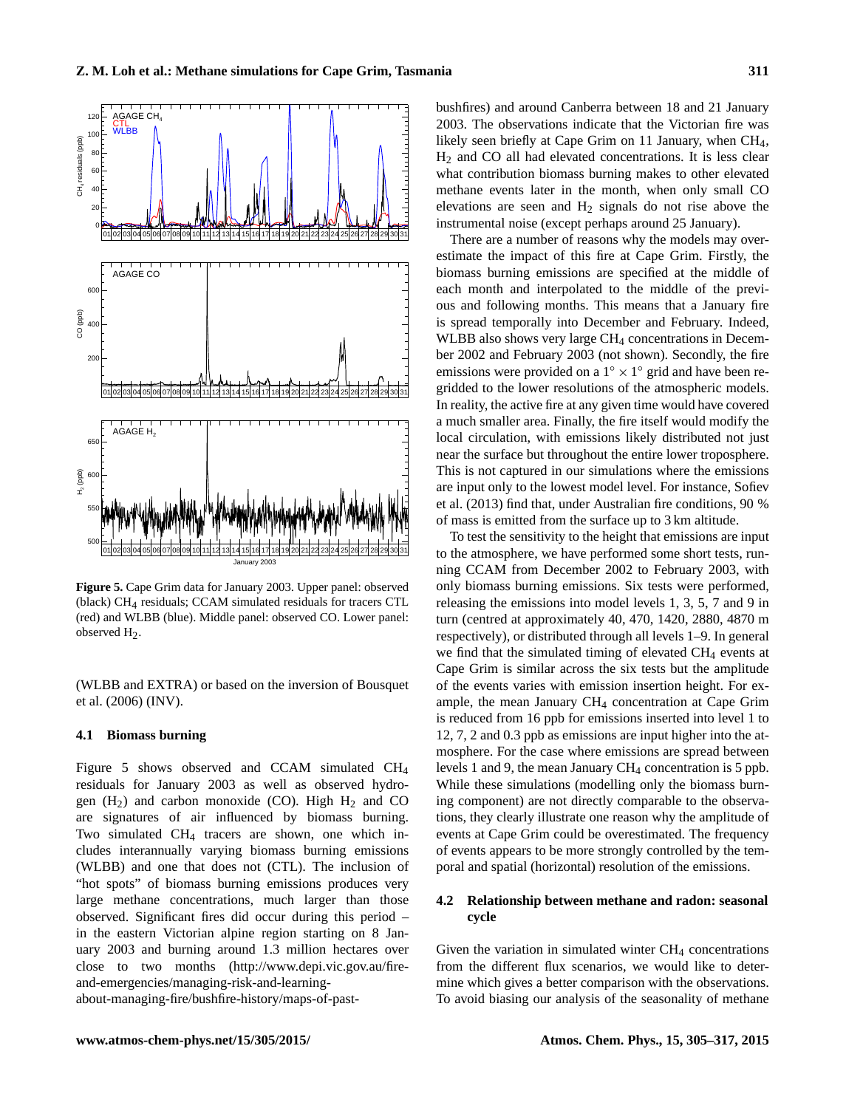<span id="page-6-2"></span>

**Figure 5.** Cape Grim data for January 2003. Upper panel: observed (black) CH4 residuals; CCAM simulated residuals for tracers CTL (red) and WLBB (blue). Middle panel: observed CO. Lower panel: observed H2.

(WLBB and EXTRA) or based on the inversion of [Bousquet](#page-10-10) [et al.](#page-10-10) [\(2006\)](#page-10-10) (INV).

## <span id="page-6-1"></span>**4.1 Biomass burning**

Figure [5](#page-6-2) shows observed and CCAM simulated CH<sup>4</sup> residuals for January 2003 as well as observed hydrogen  $(H_2)$  and carbon monoxide (CO). High  $H_2$  and CO are signatures of air influenced by biomass burning. Two simulated CH<sup>4</sup> tracers are shown, one which includes interannually varying biomass burning emissions (WLBB) and one that does not (CTL). The inclusion of "hot spots" of biomass burning emissions produces very large methane concentrations, much larger than those observed. Significant fires did occur during this period – in the eastern Victorian alpine region starting on 8 January 2003 and burning around 1.3 million hectares over close to two months [\(http://www.depi.vic.gov.au/fire](http://www.depi.vic.gov.au/fire-and-emergencies/managing-risk-and-learning-about-managing-fire/bushfire-history/maps-of-past-bushfires)[and-emergencies/managing-risk-and-learning-](http://www.depi.vic.gov.au/fire-and-emergencies/managing-risk-and-learning-about-managing-fire/bushfire-history/maps-of-past-bushfires)

[about-managing-fire/bushfire-history/maps-of-past-](http://www.depi.vic.gov.au/fire-and-emergencies/managing-risk-and-learning-about-managing-fire/bushfire-history/maps-of-past-bushfires)

[bushfires\)](http://www.depi.vic.gov.au/fire-and-emergencies/managing-risk-and-learning-about-managing-fire/bushfire-history/maps-of-past-bushfires) and around Canberra between 18 and 21 January 2003. The observations indicate that the Victorian fire was likely seen briefly at Cape Grim on 11 January, when CH<sub>4</sub>, H<sup>2</sup> and CO all had elevated concentrations. It is less clear what contribution biomass burning makes to other elevated methane events later in the month, when only small CO elevations are seen and  $H_2$  signals do not rise above the instrumental noise (except perhaps around 25 January).

There are a number of reasons why the models may overestimate the impact of this fire at Cape Grim. Firstly, the biomass burning emissions are specified at the middle of each month and interpolated to the middle of the previous and following months. This means that a January fire is spread temporally into December and February. Indeed, WLBB also shows very large CH<sub>4</sub> concentrations in December 2002 and February 2003 (not shown). Secondly, the fire emissions were provided on a  $1^\circ \times 1^\circ$  grid and have been regridded to the lower resolutions of the atmospheric models. In reality, the active fire at any given time would have covered a much smaller area. Finally, the fire itself would modify the local circulation, with emissions likely distributed not just near the surface but throughout the entire lower troposphere. This is not captured in our simulations where the emissions are input only to the lowest model level. For instance, [Sofiev](#page-11-20) [et al.](#page-11-20) [\(2013\)](#page-11-20) find that, under Australian fire conditions, 90 % of mass is emitted from the surface up to 3 km altitude.

To test the sensitivity to the height that emissions are input to the atmosphere, we have performed some short tests, running CCAM from December 2002 to February 2003, with only biomass burning emissions. Six tests were performed, releasing the emissions into model levels 1, 3, 5, 7 and 9 in turn (centred at approximately 40, 470, 1420, 2880, 4870 m respectively), or distributed through all levels 1–9. In general we find that the simulated timing of elevated  $CH_4$  events at Cape Grim is similar across the six tests but the amplitude of the events varies with emission insertion height. For example, the mean January CH<sup>4</sup> concentration at Cape Grim is reduced from 16 ppb for emissions inserted into level 1 to 12, 7, 2 and 0.3 ppb as emissions are input higher into the atmosphere. For the case where emissions are spread between levels 1 and 9, the mean January CH<sub>4</sub> concentration is 5 ppb. While these simulations (modelling only the biomass burning component) are not directly comparable to the observations, they clearly illustrate one reason why the amplitude of events at Cape Grim could be overestimated. The frequency of events appears to be more strongly controlled by the temporal and spatial (horizontal) resolution of the emissions.

## <span id="page-6-0"></span>**4.2 Relationship between methane and radon: seasonal cycle**

Given the variation in simulated winter  $CH<sub>4</sub>$  concentrations from the different flux scenarios, we would like to determine which gives a better comparison with the observations. To avoid biasing our analysis of the seasonality of methane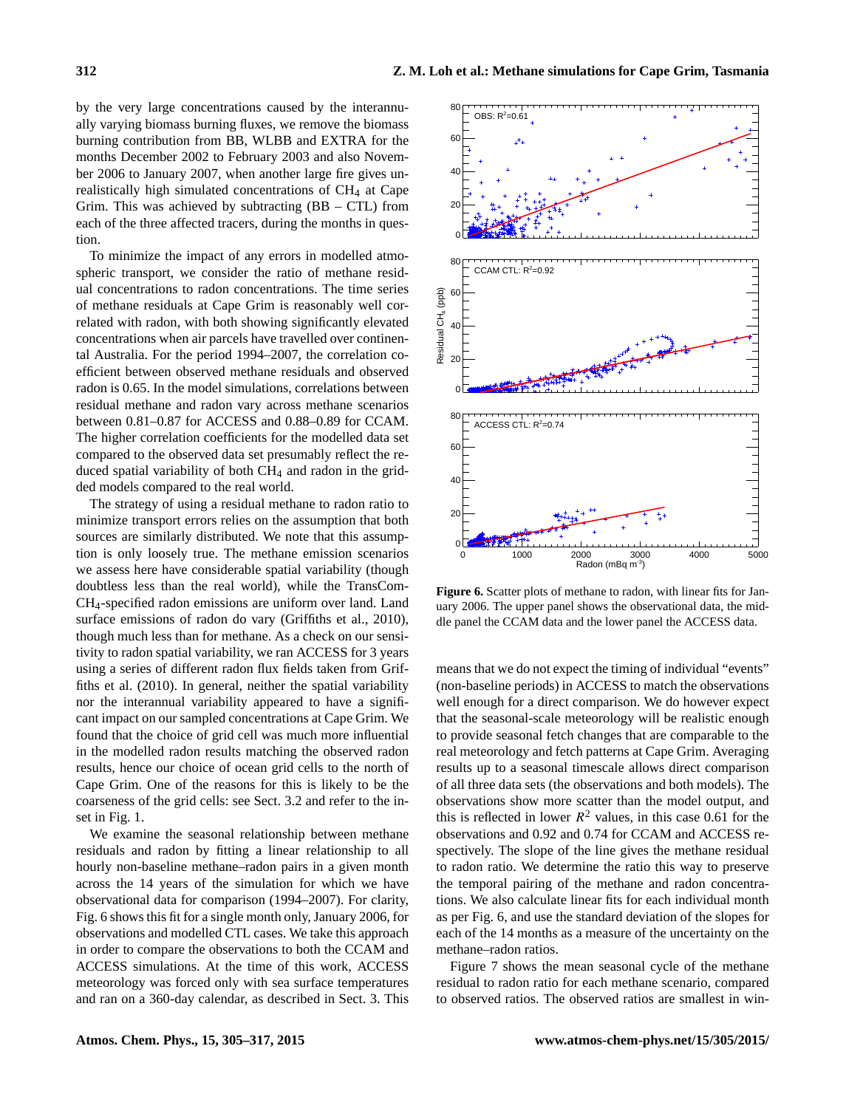by the very large concentrations caused by the interannually varying biomass burning fluxes, we remove the biomass burning contribution from BB, WLBB and EXTRA for the months December 2002 to February 2003 and also November 2006 to January 2007, when another large fire gives unrealistically high simulated concentrations of CH<sup>4</sup> at Cape Grim. This was achieved by subtracting  $(BB - CTL)$  from each of the three affected tracers, during the months in question.

To minimize the impact of any errors in modelled atmospheric transport, we consider the ratio of methane residual concentrations to radon concentrations. The time series of methane residuals at Cape Grim is reasonably well correlated with radon, with both showing significantly elevated concentrations when air parcels have travelled over continental Australia. For the period 1994–2007, the correlation coefficient between observed methane residuals and observed radon is 0.65. In the model simulations, correlations between residual methane and radon vary across methane scenarios between 0.81–0.87 for ACCESS and 0.88–0.89 for CCAM. The higher correlation coefficients for the modelled data set compared to the observed data set presumably reflect the reduced spatial variability of both  $CH<sub>4</sub>$  and radon in the gridded models compared to the real world.

The strategy of using a residual methane to radon ratio to minimize transport errors relies on the assumption that both sources are similarly distributed. We note that this assumption is only loosely true. The methane emission scenarios we assess here have considerable spatial variability (though doubtless less than the real world), while the TransCom-CH4-specified radon emissions are uniform over land. Land surface emissions of radon do vary [\(Griffiths et al.,](#page-10-13) [2010\)](#page-10-13), though much less than for methane. As a check on our sensitivity to radon spatial variability, we ran ACCESS for 3 years using a series of different radon flux fields taken from [Grif](#page-10-13)[fiths et al.](#page-10-13) [\(2010\)](#page-10-13). In general, neither the spatial variability nor the interannual variability appeared to have a significant impact on our sampled concentrations at Cape Grim. We found that the choice of grid cell was much more influential in the modelled radon results matching the observed radon results, hence our choice of ocean grid cells to the north of Cape Grim. One of the reasons for this is likely to be the coarseness of the grid cells: see Sect. [3.2](#page-4-3) and refer to the inset in Fig. [1.](#page-1-1)

We examine the seasonal relationship between methane residuals and radon by fitting a linear relationship to all hourly non-baseline methane–radon pairs in a given month across the 14 years of the simulation for which we have observational data for comparison (1994–2007). For clarity, Fig. [6](#page-7-0) shows this fit for a single month only, January 2006, for observations and modelled CTL cases. We take this approach in order to compare the observations to both the CCAM and ACCESS simulations. At the time of this work, ACCESS meteorology was forced only with sea surface temperatures and ran on a 360-day calendar, as described in Sect. [3.](#page-3-0) This

<span id="page-7-0"></span>

**Figure 6.** Scatter plots of methane to radon, with linear fits for January 2006. The upper panel shows the observational data, the middle panel the CCAM data and the lower panel the ACCESS data.

means that we do not expect the timing of individual "events" (non-baseline periods) in ACCESS to match the observations well enough for a direct comparison. We do however expect that the seasonal-scale meteorology will be realistic enough to provide seasonal fetch changes that are comparable to the real meteorology and fetch patterns at Cape Grim. Averaging results up to a seasonal timescale allows direct comparison of all three data sets (the observations and both models). The observations show more scatter than the model output, and this is reflected in lower  $R^2$  values, in this case 0.61 for the observations and 0.92 and 0.74 for CCAM and ACCESS respectively. The slope of the line gives the methane residual to radon ratio. We determine the ratio this way to preserve the temporal pairing of the methane and radon concentrations. We also calculate linear fits for each individual month as per Fig. [6,](#page-7-0) and use the standard deviation of the slopes for each of the 14 months as a measure of the uncertainty on the methane–radon ratios.

Figure [7](#page-8-1) shows the mean seasonal cycle of the methane residual to radon ratio for each methane scenario, compared to observed ratios. The observed ratios are smallest in win-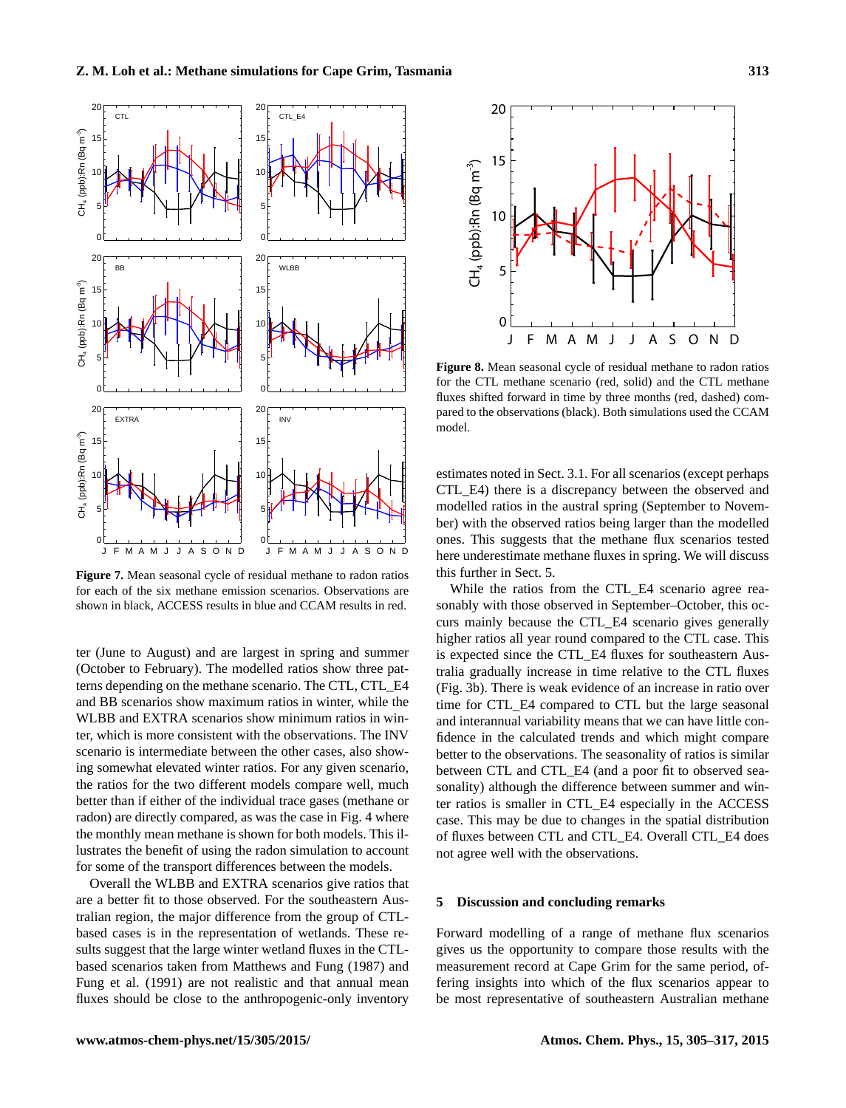<span id="page-8-1"></span>

**Figure 7.** Mean seasonal cycle of residual methane to radon ratios for each of the six methane emission scenarios. Observations are shown in black, ACCESS results in blue and CCAM results in red.

ter (June to August) and are largest in spring and summer (October to February). The modelled ratios show three patterns depending on the methane scenario. The CTL, CTL\_E4 and BB scenarios show maximum ratios in winter, while the WLBB and EXTRA scenarios show minimum ratios in winter, which is more consistent with the observations. The INV scenario is intermediate between the other cases, also showing somewhat elevated winter ratios. For any given scenario, the ratios for the two different models compare well, much better than if either of the individual trace gases (methane or radon) are directly compared, as was the case in Fig. [4](#page-5-1) where the monthly mean methane is shown for both models. This illustrates the benefit of using the radon simulation to account for some of the transport differences between the models.

Overall the WLBB and EXTRA scenarios give ratios that are a better fit to those observed. For the southeastern Australian region, the major difference from the group of CTLbased cases is in the representation of wetlands. These results suggest that the large winter wetland fluxes in the CTLbased scenarios taken from [Matthews and Fung](#page-11-13) [\(1987\)](#page-11-13) and [Fung et al.](#page-10-2) [\(1991\)](#page-10-2) are not realistic and that annual mean fluxes should be close to the anthropogenic-only inventory

<span id="page-8-2"></span>

**Figure 8.** Mean seasonal cycle of residual methane to radon ratios for the CTL methane scenario (red, solid) and the CTL methane fluxes shifted forward in time by three months (red, dashed) compared to the observations (black). Both simulations used the CCAM model.

estimates noted in Sect. [3.1.](#page-3-2) For all scenarios (except perhaps CTL\_E4) there is a discrepancy between the observed and modelled ratios in the austral spring (September to November) with the observed ratios being larger than the modelled ones. This suggests that the methane flux scenarios tested here underestimate methane fluxes in spring. We will discuss this further in Sect. [5.](#page-8-0)

While the ratios from the CTL\_E4 scenario agree reasonably with those observed in September–October, this occurs mainly because the CTL\_E4 scenario gives generally higher ratios all year round compared to the CTL case. This is expected since the CTL\_E4 fluxes for southeastern Australia gradually increase in time relative to the CTL fluxes (Fig. [3b](#page-3-1)). There is weak evidence of an increase in ratio over time for CTL\_E4 compared to CTL but the large seasonal and interannual variability means that we can have little confidence in the calculated trends and which might compare better to the observations. The seasonality of ratios is similar between CTL and CTL\_E4 (and a poor fit to observed seasonality) although the difference between summer and winter ratios is smaller in CTL\_E4 especially in the ACCESS case. This may be due to changes in the spatial distribution of fluxes between CTL and CTL\_E4. Overall CTL\_E4 does not agree well with the observations.

## <span id="page-8-0"></span>**5 Discussion and concluding remarks**

Forward modelling of a range of methane flux scenarios gives us the opportunity to compare those results with the measurement record at Cape Grim for the same period, offering insights into which of the flux scenarios appear to be most representative of southeastern Australian methane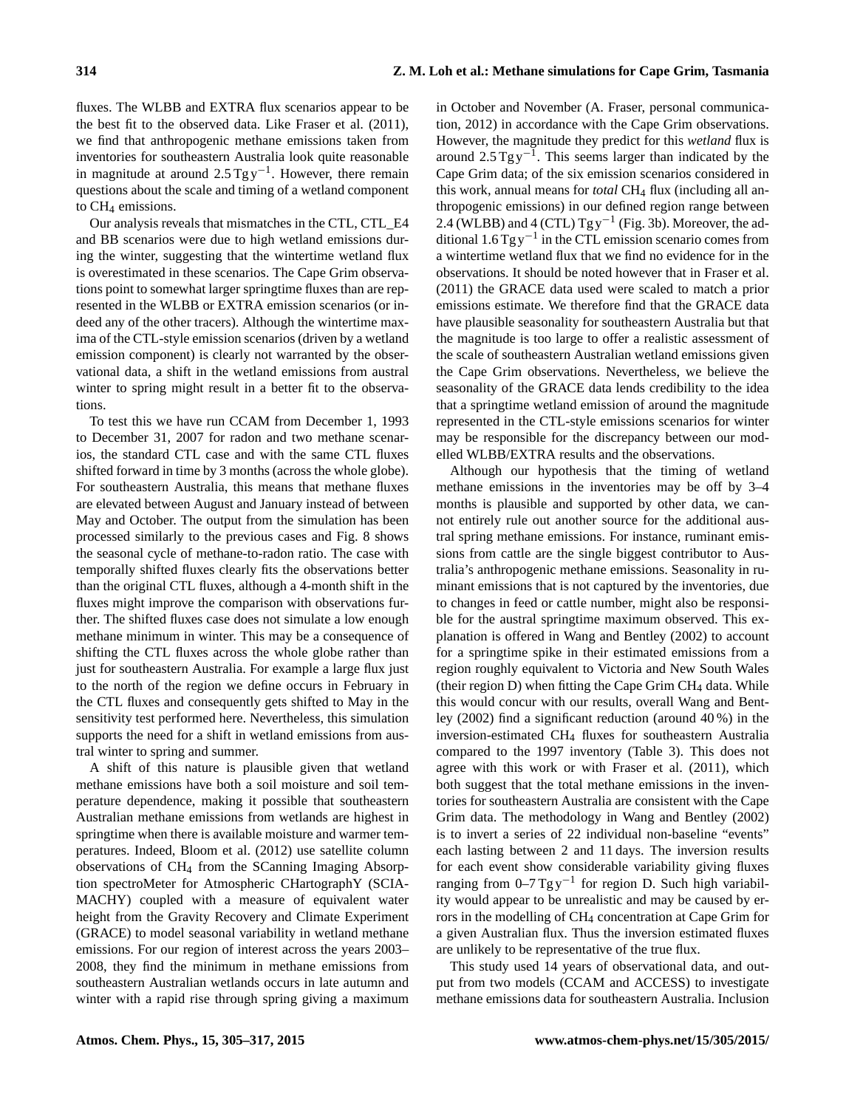fluxes. The WLBB and EXTRA flux scenarios appear to be the best fit to the observed data. Like [Fraser et al.](#page-10-7) [\(2011\)](#page-10-7), we find that anthropogenic methane emissions taken from inventories for southeastern Australia look quite reasonable in magnitude at around  $2.5$  Tg y<sup>-1</sup>. However, there remain questions about the scale and timing of a wetland component to CH<sub>4</sub> emissions.

Our analysis reveals that mismatches in the CTL, CTL\_E4 and BB scenarios were due to high wetland emissions during the winter, suggesting that the wintertime wetland flux is overestimated in these scenarios. The Cape Grim observations point to somewhat larger springtime fluxes than are represented in the WLBB or EXTRA emission scenarios (or indeed any of the other tracers). Although the wintertime maxima of the CTL-style emission scenarios (driven by a wetland emission component) is clearly not warranted by the observational data, a shift in the wetland emissions from austral winter to spring might result in a better fit to the observations.

To test this we have run CCAM from December 1, 1993 to December 31, 2007 for radon and two methane scenarios, the standard CTL case and with the same CTL fluxes shifted forward in time by 3 months (across the whole globe). For southeastern Australia, this means that methane fluxes are elevated between August and January instead of between May and October. The output from the simulation has been processed similarly to the previous cases and Fig. [8](#page-8-2) shows the seasonal cycle of methane-to-radon ratio. The case with temporally shifted fluxes clearly fits the observations better than the original CTL fluxes, although a 4-month shift in the fluxes might improve the comparison with observations further. The shifted fluxes case does not simulate a low enough methane minimum in winter. This may be a consequence of shifting the CTL fluxes across the whole globe rather than just for southeastern Australia. For example a large flux just to the north of the region we define occurs in February in the CTL fluxes and consequently gets shifted to May in the sensitivity test performed here. Nevertheless, this simulation supports the need for a shift in wetland emissions from austral winter to spring and summer.

A shift of this nature is plausible given that wetland methane emissions have both a soil moisture and soil temperature dependence, making it possible that southeastern Australian methane emissions from wetlands are highest in springtime when there is available moisture and warmer temperatures. Indeed, [Bloom et al.](#page-10-14) [\(2012\)](#page-10-14) use satellite column observations of CH<sup>4</sup> from the SCanning Imaging Absorption spectroMeter for Atmospheric CHartographY (SCIA-MACHY) coupled with a measure of equivalent water height from the Gravity Recovery and Climate Experiment (GRACE) to model seasonal variability in wetland methane emissions. For our region of interest across the years 2003– 2008, they find the minimum in methane emissions from southeastern Australian wetlands occurs in late autumn and winter with a rapid rise through spring giving a maximum in October and November (A. Fraser, personal communication, 2012) in accordance with the Cape Grim observations. However, the magnitude they predict for this *wetland* flux is around  $2.5$  Tg y<sup>-1</sup>. This seems larger than indicated by the Cape Grim data; of the six emission scenarios considered in this work, annual means for *total* CH<sub>4</sub> flux (including all anthropogenic emissions) in our defined region range between 2.4 (WLBB) and 4 (CTL)  $Tgy^{-1}$  (Fig. [3b](#page-3-1)). Moreover, the additional  $1.6$  Tg y<sup>-1</sup> in the CTL emission scenario comes from a wintertime wetland flux that we find no evidence for in the observations. It should be noted however that in [Fraser et al.](#page-10-7) [\(2011\)](#page-10-7) the GRACE data used were scaled to match a prior emissions estimate. We therefore find that the GRACE data have plausible seasonality for southeastern Australia but that the magnitude is too large to offer a realistic assessment of the scale of southeastern Australian wetland emissions given the Cape Grim observations. Nevertheless, we believe the seasonality of the GRACE data lends credibility to the idea that a springtime wetland emission of around the magnitude represented in the CTL-style emissions scenarios for winter may be responsible for the discrepancy between our modelled WLBB/EXTRA results and the observations.

Although our hypothesis that the timing of wetland methane emissions in the inventories may be off by 3–4 months is plausible and supported by other data, we cannot entirely rule out another source for the additional austral spring methane emissions. For instance, ruminant emissions from cattle are the single biggest contributor to Australia's anthropogenic methane emissions. Seasonality in ruminant emissions that is not captured by the inventories, due to changes in feed or cattle number, might also be responsible for the austral springtime maximum observed. This explanation is offered in [Wang and Bentley](#page-12-5) [\(2002\)](#page-12-5) to account for a springtime spike in their estimated emissions from a region roughly equivalent to Victoria and New South Wales (their region  $D$ ) when fitting the Cape Grim  $CH<sub>4</sub>$  data. While this would concur with our results, overall Wang and Bentley (2002) find a significant reduction (around 40 %) in the inversion-estimated CH<sup>4</sup> fluxes for southeastern Australia compared to the 1997 inventory (Table [3\)](#page-4-2). This does not agree with this work or with [Fraser et al.](#page-10-7) [\(2011\)](#page-10-7), which both suggest that the total methane emissions in the inventories for southeastern Australia are consistent with the Cape Grim data. The methodology in [Wang and Bentley](#page-12-5) [\(2002\)](#page-12-5) is to invert a series of 22 individual non-baseline "events" each lasting between 2 and 11 days. The inversion results for each event show considerable variability giving fluxes ranging from  $0-7$  Tg y<sup>-1</sup> for region D. Such high variability would appear to be unrealistic and may be caused by errors in the modelling of CH<sup>4</sup> concentration at Cape Grim for a given Australian flux. Thus the inversion estimated fluxes are unlikely to be representative of the true flux.

This study used 14 years of observational data, and output from two models (CCAM and ACCESS) to investigate methane emissions data for southeastern Australia. Inclusion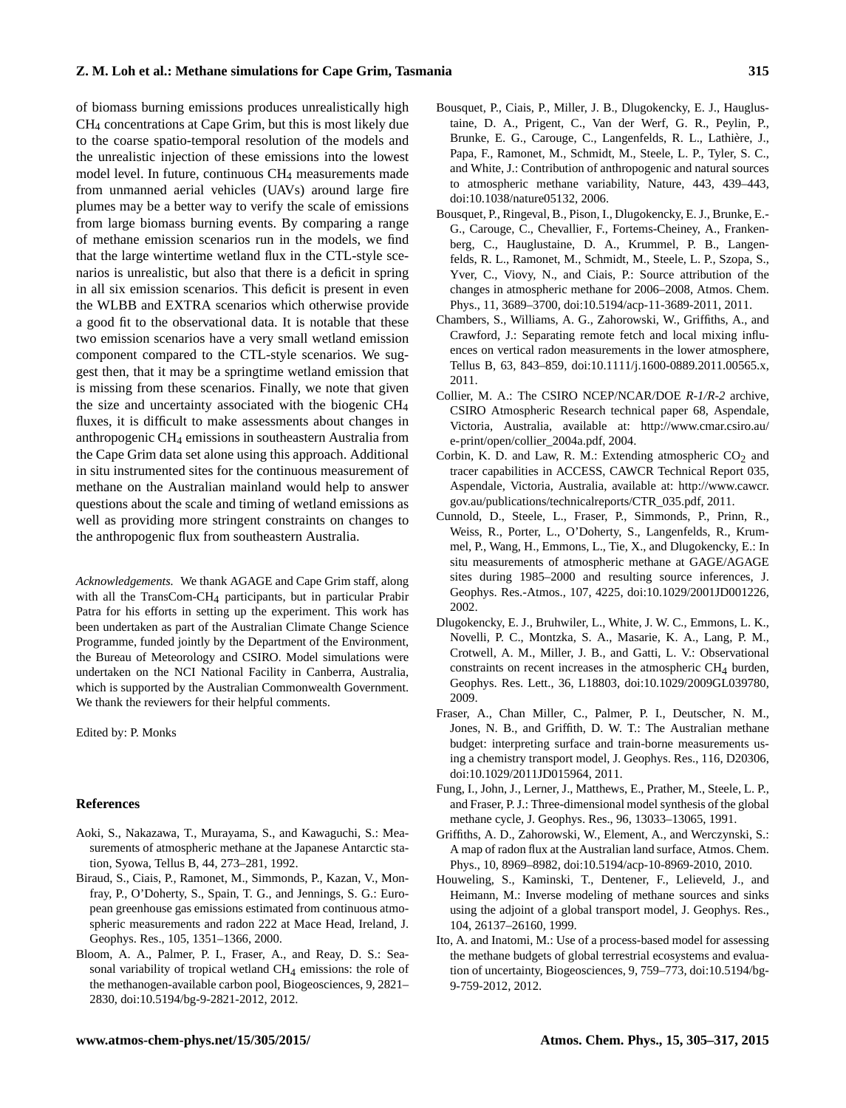#### **Z. M. Loh et al.: Methane simulations for Cape Grim, Tasmania 315**

of biomass burning emissions produces unrealistically high CH<sup>4</sup> concentrations at Cape Grim, but this is most likely due to the coarse spatio-temporal resolution of the models and the unrealistic injection of these emissions into the lowest model level. In future, continuous CH<sup>4</sup> measurements made from unmanned aerial vehicles (UAVs) around large fire plumes may be a better way to verify the scale of emissions from large biomass burning events. By comparing a range of methane emission scenarios run in the models, we find that the large wintertime wetland flux in the CTL-style scenarios is unrealistic, but also that there is a deficit in spring in all six emission scenarios. This deficit is present in even the WLBB and EXTRA scenarios which otherwise provide a good fit to the observational data. It is notable that these two emission scenarios have a very small wetland emission component compared to the CTL-style scenarios. We suggest then, that it may be a springtime wetland emission that is missing from these scenarios. Finally, we note that given the size and uncertainty associated with the biogenic CH<sup>4</sup> fluxes, it is difficult to make assessments about changes in anthropogenic CH<sup>4</sup> emissions in southeastern Australia from the Cape Grim data set alone using this approach. Additional in situ instrumented sites for the continuous measurement of methane on the Australian mainland would help to answer questions about the scale and timing of wetland emissions as well as providing more stringent constraints on changes to the anthropogenic flux from southeastern Australia.

*Acknowledgements.* We thank AGAGE and Cape Grim staff, along with all the TransCom-CH<sub>4</sub> participants, but in particular Prabir Patra for his efforts in setting up the experiment. This work has been undertaken as part of the Australian Climate Change Science Programme, funded jointly by the Department of the Environment, the Bureau of Meteorology and CSIRO. Model simulations were undertaken on the NCI National Facility in Canberra, Australia, which is supported by the Australian Commonwealth Government. We thank the reviewers for their helpful comments.

Edited by: P. Monks

## **References**

- <span id="page-10-8"></span>Aoki, S., Nakazawa, T., Murayama, S., and Kawaguchi, S.: Measurements of atmospheric methane at the Japanese Antarctic station, Syowa, Tellus B, 44, 273–281, 1992.
- <span id="page-10-6"></span>Biraud, S., Ciais, P., Ramonet, M., Simmonds, P., Kazan, V., Monfray, P., O'Doherty, S., Spain, T. G., and Jennings, S. G.: European greenhouse gas emissions estimated from continuous atmospheric measurements and radon 222 at Mace Head, Ireland, J. Geophys. Res., 105, 1351–1366, 2000.
- <span id="page-10-14"></span>Bloom, A. A., Palmer, P. I., Fraser, A., and Reay, D. S.: Seasonal variability of tropical wetland CH4 emissions: the role of the methanogen-available carbon pool, Biogeosciences, 9, 2821– 2830, doi[:10.5194/bg-9-2821-2012,](http://dx.doi.org/10.5194/bg-9-2821-2012) 2012.
- <span id="page-10-10"></span>Bousquet, P., Ciais, P., Miller, J. B., Dlugokencky, E. J., Hauglustaine, D. A., Prigent, C., Van der Werf, G. R., Peylin, P., Brunke, E. G., Carouge, C., Langenfelds, R. L., Lathière, J., Papa, F., Ramonet, M., Schmidt, M., Steele, L. P., Tyler, S. C., and White, J.: Contribution of anthropogenic and natural sources to atmospheric methane variability, Nature, 443, 439–443, doi[:10.1038/nature05132,](http://dx.doi.org/10.1038/nature05132) 2006.
- <span id="page-10-4"></span>Bousquet, P., Ringeval, B., Pison, I., Dlugokencky, E. J., Brunke, E.- G., Carouge, C., Chevallier, F., Fortems-Cheiney, A., Frankenberg, C., Hauglustaine, D. A., Krummel, P. B., Langenfelds, R. L., Ramonet, M., Schmidt, M., Steele, L. P., Szopa, S., Yver, C., Viovy, N., and Ciais, P.: Source attribution of the changes in atmospheric methane for 2006–2008, Atmos. Chem. Phys., 11, 3689–3700, doi[:10.5194/acp-11-3689-2011,](http://dx.doi.org/10.5194/acp-11-3689-2011) 2011.
- <span id="page-10-5"></span>Chambers, S., Williams, A. G., Zahorowski, W., Griffiths, A., and Crawford, J.: Separating remote fetch and local mixing influences on vertical radon measurements in the lower atmosphere, Tellus B, 63, 843–859, doi[:10.1111/j.1600-0889.2011.00565.x,](http://dx.doi.org/10.1111/j.1600-0889.2011.00565.x) 2011.
- <span id="page-10-12"></span>Collier, M. A.: The CSIRO NCEP/NCAR/DOE *R-1/R-2* archive, CSIRO Atmospheric Research technical paper 68, Aspendale, Victoria, Australia, available at: [http://www.cmar.csiro.au/](http://www.cmar.csiro.au/e-print/open/collier_2004a.pdf) [e-print/open/collier\\_2004a.pdf,](http://www.cmar.csiro.au/e-print/open/collier_2004a.pdf) 2004.
- <span id="page-10-11"></span>Corbin, K. D. and Law, R. M.: Extending atmospheric  $CO<sub>2</sub>$  and tracer capabilities in ACCESS, CAWCR Technical Report 035, Aspendale, Victoria, Australia, available at: [http://www.cawcr.](http://www.cawcr.gov.au/publications/technicalreports/CTR_035.pdf) [gov.au/publications/technicalreports/CTR\\_035.pdf,](http://www.cawcr.gov.au/publications/technicalreports/CTR_035.pdf) 2011.
- <span id="page-10-1"></span>Cunnold, D., Steele, L., Fraser, P., Simmonds, P., Prinn, R., Weiss, R., Porter, L., O'Doherty, S., Langenfelds, R., Krummel, P., Wang, H., Emmons, L., Tie, X., and Dlugokencky, E.: In situ measurements of atmospheric methane at GAGE/AGAGE sites during 1985–2000 and resulting source inferences, J. Geophys. Res.-Atmos., 107, 4225, doi[:10.1029/2001JD001226,](http://dx.doi.org/10.1029/2001JD001226) 2002.
- <span id="page-10-0"></span>Dlugokencky, E. J., Bruhwiler, L., White, J. W. C., Emmons, L. K., Novelli, P. C., Montzka, S. A., Masarie, K. A., Lang, P. M., Crotwell, A. M., Miller, J. B., and Gatti, L. V.: Observational constraints on recent increases in the atmospheric  $CH<sub>4</sub>$  burden, Geophys. Res. Lett., 36, L18803, doi[:10.1029/2009GL039780,](http://dx.doi.org/10.1029/2009GL039780) 2009.
- <span id="page-10-7"></span>Fraser, A., Chan Miller, C., Palmer, P. I., Deutscher, N. M., Jones, N. B., and Griffith, D. W. T.: The Australian methane budget: interpreting surface and train-borne measurements using a chemistry transport model, J. Geophys. Res., 116, D20306, doi[:10.1029/2011JD015964,](http://dx.doi.org/10.1029/2011JD015964) 2011.
- <span id="page-10-2"></span>Fung, I., John, J., Lerner, J., Matthews, E., Prather, M., Steele, L. P., and Fraser, P. J.: Three-dimensional model synthesis of the global methane cycle, J. Geophys. Res., 96, 13033–13065, 1991.
- <span id="page-10-13"></span>Griffiths, A. D., Zahorowski, W., Element, A., and Werczynski, S.: A map of radon flux at the Australian land surface, Atmos. Chem. Phys., 10, 8969–8982, doi[:10.5194/acp-10-8969-2010,](http://dx.doi.org/10.5194/acp-10-8969-2010) 2010.
- <span id="page-10-3"></span>Houweling, S., Kaminski, T., Dentener, F., Lelieveld, J., and Heimann, M.: Inverse modeling of methane sources and sinks using the adjoint of a global transport model, J. Geophys. Res., 104, 26137–26160, 1999.
- <span id="page-10-9"></span>Ito, A. and Inatomi, M.: Use of a process-based model for assessing the methane budgets of global terrestrial ecosystems and evaluation of uncertainty, Biogeosciences, 9, 759–773, doi[:10.5194/bg-](http://dx.doi.org/10.5194/bg-9-759-2012)[9-759-2012,](http://dx.doi.org/10.5194/bg-9-759-2012) 2012.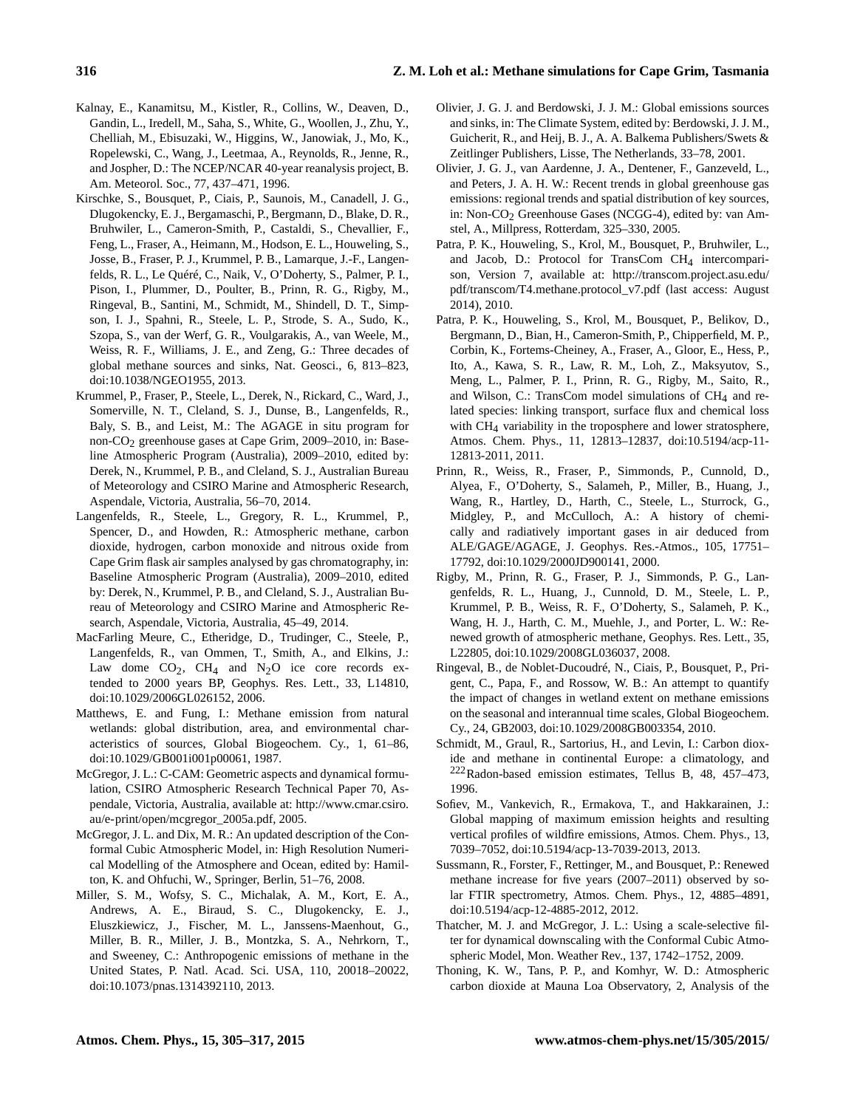- <span id="page-11-19"></span>Kalnay, E., Kanamitsu, M., Kistler, R., Collins, W., Deaven, D., Gandin, L., Iredell, M., Saha, S., White, G., Woollen, J., Zhu, Y., Chelliah, M., Ebisuzaki, W., Higgins, W., Janowiak, J., Mo, K., Ropelewski, C., Wang, J., Leetmaa, A., Reynolds, R., Jenne, R., and Jospher, D.: The NCEP/NCAR 40-year reanalysis project, B. Am. Meteorol. Soc., 77, 437–471, 1996.
- <span id="page-11-3"></span>Kirschke, S., Bousquet, P., Ciais, P., Saunois, M., Canadell, J. G., Dlugokencky, E. J., Bergamaschi, P., Bergmann, D., Blake, D. R., Bruhwiler, L., Cameron-Smith, P., Castaldi, S., Chevallier, F., Feng, L., Fraser, A., Heimann, M., Hodson, E. L., Houweling, S., Josse, B., Fraser, P. J., Krummel, P. B., Lamarque, J.-F., Langenfelds, R. L., Le Quéré, C., Naik, V., O'Doherty, S., Palmer, P. I., Pison, I., Plummer, D., Poulter, B., Prinn, R. G., Rigby, M., Ringeval, B., Santini, M., Schmidt, M., Shindell, D. T., Simpson, I. J., Spahni, R., Steele, L. P., Strode, S. A., Sudo, K., Szopa, S., van der Werf, G. R., Voulgarakis, A., van Weele, M., Weiss, R. F., Williams, J. E., and Zeng, G.: Three decades of global methane sources and sinks, Nat. Geosci., 6, 813–823, doi[:10.1038/NGEO1955,](http://dx.doi.org/10.1038/NGEO1955) 2013.
- <span id="page-11-8"></span>Krummel, P., Fraser, P., Steele, L., Derek, N., Rickard, C., Ward, J., Somerville, N. T., Cleland, S. J., Dunse, B., Langenfelds, R., Baly, S. B., and Leist, M.: The AGAGE in situ program for non-CO<sub>2</sub> greenhouse gases at Cape Grim, 2009–2010, in: Baseline Atmospheric Program (Australia), 2009–2010, edited by: Derek, N., Krummel, P. B., and Cleland, S. J., Australian Bureau of Meteorology and CSIRO Marine and Atmospheric Research, Aspendale, Victoria, Australia, 56–70, 2014.
- <span id="page-11-7"></span>Langenfelds, R., Steele, L., Gregory, R. L., Krummel, P., Spencer, D., and Howden, R.: Atmospheric methane, carbon dioxide, hydrogen, carbon monoxide and nitrous oxide from Cape Grim flask air samples analysed by gas chromatography, in: Baseline Atmospheric Program (Australia), 2009–2010, edited by: Derek, N., Krummel, P. B., and Cleland, S. J., Australian Bureau of Meteorology and CSIRO Marine and Atmospheric Research, Aspendale, Victoria, Australia, 45–49, 2014.
- <span id="page-11-0"></span>MacFarling Meure, C., Etheridge, D., Trudinger, C., Steele, P., Langenfelds, R., van Ommen, T., Smith, A., and Elkins, J.: Law dome  $CO_2$ , CH<sub>4</sub> and N<sub>2</sub>O ice core records extended to 2000 years BP, Geophys. Res. Lett., 33, L14810, doi[:10.1029/2006GL026152,](http://dx.doi.org/10.1029/2006GL026152) 2006.
- <span id="page-11-13"></span>Matthews, E. and Fung, I.: Methane emission from natural wetlands: global distribution, area, and environmental characteristics of sources, Global Biogeochem. Cy., 1, 61–86, doi[:10.1029/GB001i001p00061,](http://dx.doi.org/10.1029/GB001i001p00061) 1987.
- <span id="page-11-16"></span>McGregor, J. L.: C-CAM: Geometric aspects and dynamical formulation, CSIRO Atmospheric Research Technical Paper 70, Aspendale, Victoria, Australia, available at: [http://www.cmar.csiro.](http://www.cmar.csiro.au/e-print/open/mcgregor_2005a.pdf) [au/e-print/open/mcgregor\\_2005a.pdf,](http://www.cmar.csiro.au/e-print/open/mcgregor_2005a.pdf) 2005.
- <span id="page-11-17"></span>McGregor, J. L. and Dix, M. R.: An updated description of the Conformal Cubic Atmospheric Model, in: High Resolution Numerical Modelling of the Atmosphere and Ocean, edited by: Hamilton, K. and Ohfuchi, W., Springer, Berlin, 51–76, 2008.
- <span id="page-11-4"></span>Miller, S. M., Wofsy, S. C., Michalak, A. M., Kort, E. A., Andrews, A. E., Biraud, S. C., Dlugokencky, E. J., Eluszkiewicz, J., Fischer, M. L., Janssens-Maenhout, G., Miller, B. R., Miller, J. B., Montzka, S. A., Nehrkorn, T., and Sweeney, C.: Anthropogenic emissions of methane in the United States, P. Natl. Acad. Sci. USA, 110, 20018–20022, doi[:10.1073/pnas.1314392110,](http://dx.doi.org/10.1073/pnas.1314392110) 2013.
- <span id="page-11-12"></span>Olivier, J. G. J. and Berdowski, J. J. M.: Global emissions sources and sinks, in: The Climate System, edited by: Berdowski, J. J. M., Guicherit, R., and Heij, B. J., A. A. Balkema Publishers/Swets & Zeitlinger Publishers, Lisse, The Netherlands, 33–78, 2001.
- <span id="page-11-15"></span>Olivier, J. G. J., van Aardenne, J. A., Dentener, F., Ganzeveld, L., and Peters, J. A. H. W.: Recent trends in global greenhouse gas emissions: regional trends and spatial distribution of key sources, in: Non-CO<sub>2</sub> Greenhouse Gases (NCGG-4), edited by: van Amstel, A., Millpress, Rotterdam, 325–330, 2005.
- <span id="page-11-11"></span>Patra, P. K., Houweling, S., Krol, M., Bousquet, P., Bruhwiler, L., and Jacob, D.: Protocol for TransCom CH<sub>4</sub> intercomparison, Version 7, available at: [http://transcom.project.asu.edu/](http://transcom.project.asu.edu/pdf/transcom/T4.methane.protocol_v7.pdf) [pdf/transcom/T4.methane.protocol\\_v7.pdf](http://transcom.project.asu.edu/pdf/transcom/T4.methane.protocol_v7.pdf) (last access: August 2014), 2010.
- <span id="page-11-5"></span>Patra, P. K., Houweling, S., Krol, M., Bousquet, P., Belikov, D., Bergmann, D., Bian, H., Cameron-Smith, P., Chipperfield, M. P., Corbin, K., Fortems-Cheiney, A., Fraser, A., Gloor, E., Hess, P., Ito, A., Kawa, S. R., Law, R. M., Loh, Z., Maksyutov, S., Meng, L., Palmer, P. I., Prinn, R. G., Rigby, M., Saito, R., and Wilson, C.: TransCom model simulations of  $CH<sub>4</sub>$  and related species: linking transport, surface flux and chemical loss with CH<sub>4</sub> variability in the troposphere and lower stratosphere, Atmos. Chem. Phys., 11, 12813–12837, doi[:10.5194/acp-11-](http://dx.doi.org/10.5194/acp-11-12813-2011) [12813-2011,](http://dx.doi.org/10.5194/acp-11-12813-2011) 2011.
- <span id="page-11-9"></span>Prinn, R., Weiss, R., Fraser, P., Simmonds, P., Cunnold, D., Alyea, F., O'Doherty, S., Salameh, P., Miller, B., Huang, J., Wang, R., Hartley, D., Harth, C., Steele, L., Sturrock, G., Midgley, P., and McCulloch, A.: A history of chemically and radiatively important gases in air deduced from ALE/GAGE/AGAGE, J. Geophys. Res.-Atmos., 105, 17751– 17792, doi[:10.1029/2000JD900141,](http://dx.doi.org/10.1029/2000JD900141) 2000.
- <span id="page-11-1"></span>Rigby, M., Prinn, R. G., Fraser, P. J., Simmonds, P. G., Langenfelds, R. L., Huang, J., Cunnold, D. M., Steele, L. P., Krummel, P. B., Weiss, R. F., O'Doherty, S., Salameh, P. K., Wang, H. J., Harth, C. M., Muehle, J., and Porter, L. W.: Renewed growth of atmospheric methane, Geophys. Res. Lett., 35, L22805, doi[:10.1029/2008GL036037,](http://dx.doi.org/10.1029/2008GL036037) 2008.
- <span id="page-11-14"></span>Ringeval, B., de Noblet-Ducoudré, N., Ciais, P., Bousquet, P., Prigent, C., Papa, F., and Rossow, W. B.: An attempt to quantify the impact of changes in wetland extent on methane emissions on the seasonal and interannual time scales, Global Biogeochem. Cy., 24, GB2003, doi[:10.1029/2008GB003354,](http://dx.doi.org/10.1029/2008GB003354) 2010.
- <span id="page-11-6"></span>Schmidt, M., Graul, R., Sartorius, H., and Levin, I.: Carbon dioxide and methane in continental Europe: a climatology, and <sup>222</sup>Radon-based emission estimates, Tellus B, 48, 457–473, 1996.
- <span id="page-11-20"></span>Sofiev, M., Vankevich, R., Ermakova, T., and Hakkarainen, J.: Global mapping of maximum emission heights and resulting vertical profiles of wildfire emissions, Atmos. Chem. Phys., 13, 7039–7052, doi[:10.5194/acp-13-7039-2013,](http://dx.doi.org/10.5194/acp-13-7039-2013) 2013.
- <span id="page-11-2"></span>Sussmann, R., Forster, F., Rettinger, M., and Bousquet, P.: Renewed methane increase for five years (2007–2011) observed by solar FTIR spectrometry, Atmos. Chem. Phys., 12, 4885–4891, doi[:10.5194/acp-12-4885-2012,](http://dx.doi.org/10.5194/acp-12-4885-2012) 2012.
- <span id="page-11-18"></span>Thatcher, M. J. and McGregor, J. L.: Using a scale-selective filter for dynamical downscaling with the Conformal Cubic Atmospheric Model, Mon. Weather Rev., 137, 1742–1752, 2009.
- <span id="page-11-10"></span>Thoning, K. W., Tans, P. P., and Komhyr, W. D.: Atmospheric carbon dioxide at Mauna Loa Observatory, 2, Analysis of the